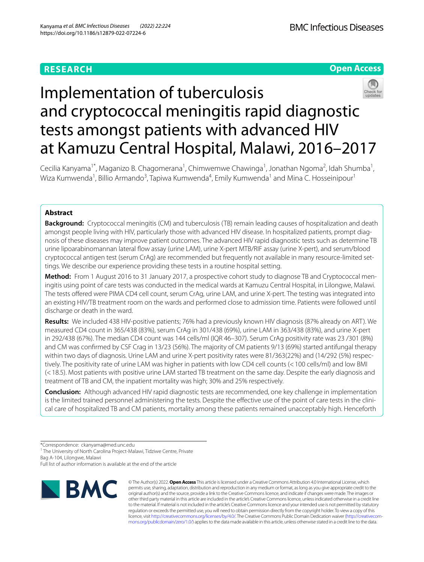## **RESEARCH**

## **Open Access**



# Implementation of tuberculosis and cryptococcal meningitis rapid diagnostic tests amongst patients with advanced HIV at Kamuzu Central Hospital, Malawi, 2016–2017

Cecilia Kanyama<sup>1\*</sup>, Maganizo B. Chagomerana<sup>1</sup>, Chimwemwe Chawinga<sup>1</sup>, Jonathan Ngoma<sup>2</sup>, Idah Shumba<sup>1</sup>, Wiza Kumwenda<sup>1</sup>, Billio Armando<sup>3</sup>, Tapiwa Kumwenda<sup>4</sup>, Emily Kumwenda<sup>1</sup> and Mina C. Hosseinipour<sup>1</sup>

### **Abstract**

**Background:** Cryptococcal meningitis (CM) and tuberculosis (TB) remain leading causes of hospitalization and death amongst people living with HIV, particularly those with advanced HIV disease. In hospitalized patients, prompt diagnosis of these diseases may improve patient outcomes. The advanced HIV rapid diagnostic tests such as determine TB urine lipoarabinomannan lateral fow assay (urine LAM), urine X-pert MTB/RIF assay (urine X-pert), and serum/blood cryptococcal antigen test (serum CrAg) are recommended but frequently not available in many resource-limited settings. We describe our experience providing these tests in a routine hospital setting.

**Method:** From 1 August 2016 to 31 January 2017, a prospective cohort study to diagnose TB and Cryptococcal meningitis using point of care tests was conducted in the medical wards at Kamuzu Central Hospital, in Lilongwe, Malawi. The tests ofered were PIMA CD4 cell count, serum CrAg, urine LAM, and urine X-pert. The testing was integrated into an existing HIV/TB treatment room on the wards and performed close to admission time. Patients were followed until discharge or death in the ward.

**Results:** We included 438 HIV-positive patients; 76% had a previously known HIV diagnosis (87% already on ART). We measured CD4 count in 365/438 (83%), serum CrAg in 301/438 (69%), urine LAM in 363/438 (83%), and urine X-pert in 292/438 (67%). The median CD4 count was 144 cells/ml (IQR 46–307). Serum CrAg positivity rate was 23 /301 (8%) and CM was confrmed by CSF Crag in 13/23 (56%). The majority of CM patients 9/13 (69%) started antifungal therapy within two days of diagnosis. Urine LAM and urine X-pert positivity rates were 81/363(22%) and (14/292 (5%) respectively. The positivity rate of urine LAM was higher in patients with low CD4 cell counts (<100 cells/ml) and low BMI (<18.5). Most patients with positive urine LAM started TB treatment on the same day. Despite the early diagnosis and treatment of TB and CM, the inpatient mortality was high; 30% and 25% respectively.

**Conclusion:** Although advanced HIV rapid diagnostic tests are recommended, one key challenge in implementation is the limited trained personnel administering the tests. Despite the efective use of the point of care tests in the clinical care of hospitalized TB and CM patients, mortality among these patients remained unacceptably high. Henceforth

<sup>1</sup> The University of North Carolina Project-Malawi, Tidziwe Centre, Private Bag A-104, Lilongwe, Malawi

Full list of author information is available at the end of the article



© The Author(s) 2022. **Open Access** This article is licensed under a Creative Commons Attribution 4.0 International License, which permits use, sharing, adaptation, distribution and reproduction in any medium or format, as long as you give appropriate credit to the original author(s) and the source, provide a link to the Creative Commons licence, and indicate if changes were made. The images or other third party material in this article are included in the article's Creative Commons licence, unless indicated otherwise in a credit line to the material. If material is not included in the article's Creative Commons licence and your intended use is not permitted by statutory regulation or exceeds the permitted use, you will need to obtain permission directly from the copyright holder. To view a copy of this licence, visit [http://creativecommons.org/licenses/by/4.0/.](http://creativecommons.org/licenses/by/4.0/) The Creative Commons Public Domain Dedication waiver ([http://creativecom](http://creativecommons.org/publicdomain/zero/1.0/)[mons.org/publicdomain/zero/1.0/\)](http://creativecommons.org/publicdomain/zero/1.0/) applies to the data made available in this article, unless otherwise stated in a credit line to the data.

<sup>\*</sup>Correspondence: ckanyama@med.unc.edu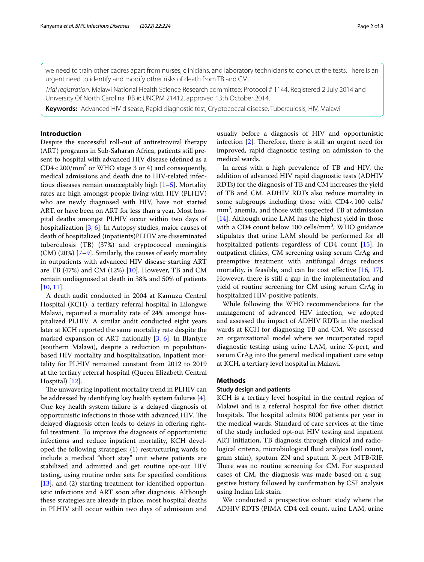we need to train other cadres apart from nurses, clinicians, and laboratory technicians to conduct the tests. There is an urgent need to identify and modify other risks of death from TB and CM.

*Trial registration:* Malawi National Health Science Research committee: Protocol # 1144. Registered 2 July 2014 and University Of North Carolina IRB #: UNCPM 21412, approved 13th October 2014.

**Keywords:** Advanced HIV disease, Rapid diagnostic test, Cryptococcal disease, Tuberculosis, HIV, Malawi

#### **Introduction**

Despite the successful roll-out of antiretroviral therapy (ART) programs in Sub-Saharan Africa, patients still present to hospital with advanced HIV disease (defned as a  $CD4 < 200/mm<sup>3</sup>$  or WHO stage 3 or 4) and consequently, medical admissions and death due to HIV-related infectious diseases remain unacceptably high [[1–](#page-6-0)[5\]](#page-6-1). Mortality rates are high amongst people living with HIV (PLHIV) who are newly diagnosed with HIV, have not started ART, or have been on ART for less than a year. Most hospital deaths amongst PLHIV occur within two days of hospitalization [\[3](#page-6-2), [6\]](#page-6-3). In Autopsy studies, major causes of death of hospitalized (inpatients)PLHIV are disseminated tuberculosis (TB) (37%) and cryptococcal meningitis  $(CM)$  (20%) [\[7](#page-6-4)[–9](#page-6-5)]. Similarly, the causes of early mortality in outpatients with advanced HIV disease starting ART are TB (47%) and CM (12%) [[10\]](#page-6-6). However, TB and CM remain undiagnosed at death in 38% and 50% of patients [[10,](#page-6-6) [11](#page-6-7)].

A death audit conducted in 2004 at Kamuzu Central Hospital (KCH), a tertiary referral hospital in Lilongwe Malawi, reported a mortality rate of 24% amongst hospitalized PLHIV. A similar audit conducted eight years later at KCH reported the same mortality rate despite the marked expansion of ART nationally [[3,](#page-6-2) [6\]](#page-6-3). In Blantyre (southern Malawi), despite a reduction in populationbased HIV mortality and hospitalization, inpatient mortality for PLHIV remained constant from 2012 to 2019 at the tertiary referral hospital (Queen Elizabeth Central Hospital) [\[12\]](#page-6-8).

The unwavering inpatient mortality trend in PLHIV can be addressed by identifying key health system failures [\[4](#page-6-9)]. One key health system failure is a delayed diagnosis of opportunistic infections in those with advanced HIV. The delayed diagnosis often leads to delays in ofering rightful treatment. To improve the diagnosis of opportunistic infections and reduce inpatient mortality, KCH developed the following strategies: (1) restructuring wards to include a medical "short stay" unit where patients are stabilized and admitted and get routine opt-out HIV testing, using routine order sets for specifed conditions [[13\]](#page-6-10), and (2) starting treatment for identified opportunistic infections and ART soon after diagnosis. Although these strategies are already in place, most hospital deaths in PLHIV still occur within two days of admission and usually before a diagnosis of HIV and opportunistic infection  $[2]$  $[2]$ . Therefore, there is still an urgent need for improved, rapid diagnostic testing on admission to the medical wards.

In areas with a high prevalence of TB and HIV, the addition of advanced HIV rapid diagnostic tests (ADHIV RDTs) for the diagnosis of TB and CM increases the yield of TB and CM. ADHIV RDTs also reduce mortality in some subgroups including those with CD4<100 cells/  $mm<sup>3</sup>$ , anemia, and those with suspected TB at admission [[14\]](#page-6-12). Although urine LAM has the highest yield in those with a CD4 count below  $100$  cells/mm<sup>3</sup>, WHO guidance stipulates that urine LAM should be performed for all hospitalized patients regardless of CD4 count [[15\]](#page-6-13). In outpatient clinics, CM screening using serum CrAg and preemptive treatment with antifungal drugs reduces mortality, is feasible, and can be cost effective  $[16, 17]$  $[16, 17]$  $[16, 17]$  $[16, 17]$ . However, there is still a gap in the implementation and yield of routine screening for CM using serum CrAg in hospitalized HIV-positive patients.

While following the WHO recommendations for the management of advanced HIV infection, we adopted and assessed the impact of ADHIV RDTs in the medical wards at KCH for diagnosing TB and CM. We assessed an organizational model where we incorporated rapid diagnostic testing using urine LAM, urine X-pert, and serum CrAg into the general medical inpatient care setup at KCH, a tertiary level hospital in Malawi.

#### **Methods**

#### **Study design and patients**

KCH is a tertiary level hospital in the central region of Malawi and is a referral hospital for fve other district hospitals. The hospital admits 8000 patients per year in the medical wards. Standard of care services at the time of the study included opt-out HIV testing and inpatient ART initiation, TB diagnosis through clinical and radiological criteria, microbiological fuid analysis (cell count, gram stain), sputum ZN and sputum X-pert MTB/RIF. There was no routine screening for CM. For suspected cases of CM, the diagnosis was made based on a suggestive history followed by confrmation by CSF analysis using Indian Ink stain.

We conducted a prospective cohort study where the ADHIV RDTS (PIMA CD4 cell count, urine LAM, urine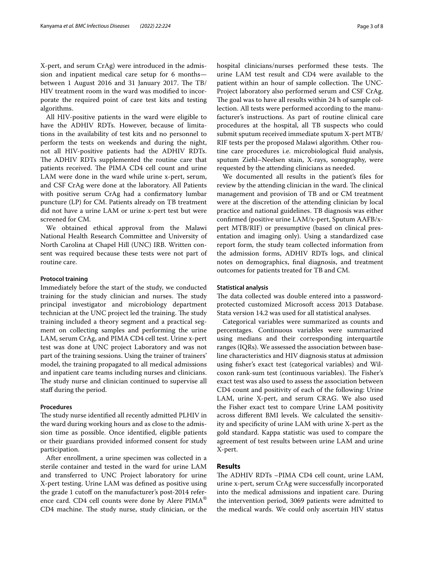X-pert, and serum CrAg) were introduced in the admission and inpatient medical care setup for 6 months between 1 August 2016 and 31 January 2017. The  $TB/$ HIV treatment room in the ward was modifed to incorporate the required point of care test kits and testing algorithms.

All HIV-positive patients in the ward were eligible to have the ADHIV RDTs. However, because of limitations in the availability of test kits and no personnel to perform the tests on weekends and during the night, not all HIV-positive patients had the ADHIV RDTs. The ADHIV RDTs supplemented the routine care that patients received. The PIMA CD4 cell count and urine LAM were done in the ward while urine x-pert, serum, and CSF CrAg were done at the laboratory. All Patients with positive serum CrAg had a confrmatory lumbar puncture (LP) for CM. Patients already on TB treatment did not have a urine LAM or urine x-pert test but were screened for CM.

We obtained ethical approval from the Malawi National Health Research Committee and University of North Carolina at Chapel Hill (UNC) IRB. Written consent was required because these tests were not part of routine care.

#### **Protocol training**

Immediately before the start of the study, we conducted training for the study clinician and nurses. The study principal investigator and microbiology department technician at the UNC project led the training. The study training included a theory segment and a practical segment on collecting samples and performing the urine LAM, serum CrAg, and PIMA CD4 cell test. Urine x-pert test was done at UNC project Laboratory and was not part of the training sessions. Using the trainer of trainers' model, the training propagated to all medical admissions and inpatient care teams including nurses and clinicians. The study nurse and clinician continued to supervise all staff during the period.

#### **Procedures**

The study nurse identified all recently admitted PLHIV in the ward during working hours and as close to the admission time as possible. Once identifed, eligible patients or their guardians provided informed consent for study participation.

After enrollment, a urine specimen was collected in a sterile container and tested in the ward for urine LAM and transferred to UNC Project laboratory for urine X-pert testing. Urine LAM was defned as positive using the grade 1 cutoff on the manufacturer's post-2014 reference card. CD4 cell counts were done by Alere PIMA® CD4 machine. The study nurse, study clinician, or the hospital clinicians/nurses performed these tests. The urine LAM test result and CD4 were available to the patient within an hour of sample collection. The UNC-Project laboratory also performed serum and CSF CrAg. The goal was to have all results within 24 h of sample collection. All tests were performed according to the manufacturer's instructions. As part of routine clinical care procedures at the hospital, all TB suspects who could submit sputum received immediate sputum X-pert MTB/ RIF tests per the proposed Malawi algorithm. Other routine care procedures i.e. microbiological fuid analysis, sputum Ziehl–Neelsen stain, X-rays, sonography, were requested by the attending clinicians as needed.

We documented all results in the patient's fles for review by the attending clinician in the ward. The clinical management and provision of TB and or CM treatment were at the discretion of the attending clinician by local practice and national guidelines. TB diagnosis was either confrmed (positive urine LAM/x-pert, Sputum AAFB/xpert MTB/RIF) or presumptive (based on clinical presentation and imaging only). Using a standardized case report form, the study team collected information from the admission forms, ADHIV RDTs logs, and clinical notes on demographics, fnal diagnosis, and treatment outcomes for patients treated for TB and CM.

#### **Statistical analysis**

The data collected was double entered into a passwordprotected customized Microsoft access 2013 Database. Stata version 14.2 was used for all statistical analyses.

Categorical variables were summarized as counts and percentages. Continuous variables were summarized using medians and their corresponding interquartile ranges (IQRs). We assessed the association between baseline characteristics and HIV diagnosis status at admission using fsher's exact test (categorical variables) and Wilcoxon rank-sum test (continuous variables). The Fisher's exact test was also used to assess the association between CD4 count and positivity of each of the following: Urine LAM, urine X-pert, and serum CRAG. We also used the Fisher exact test to compare Urine LAM positivity across diferent BMI levels. We calculated the sensitivity and specifcity of urine LAM with urine X-pert as the gold standard. Kappa statistic was used to compare the agreement of test results between urine LAM and urine X-pert.

#### **Results**

The ADHIV RDTs -PIMA CD4 cell count, urine LAM, urine x-pert, serum CrAg were successfully incorporated into the medical admissions and inpatient care. During the intervention period, 3069 patients were admitted to the medical wards. We could only ascertain HIV status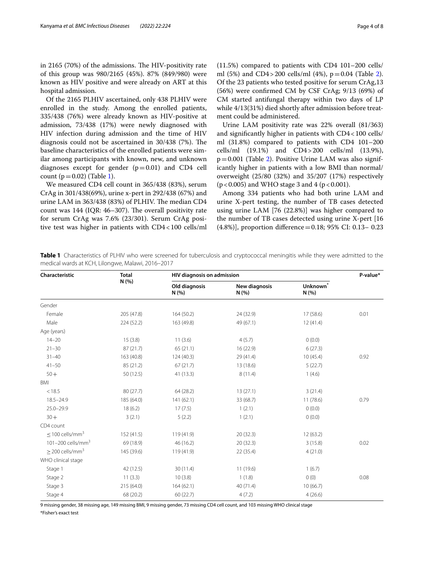in 2165 (70%) of the admissions. The HIV-positivity rate of this group was 980/2165 (45%). 87% (849/980) were known as HIV positive and were already on ART at this hospital admission.

Of the 2165 PLHIV ascertained, only 438 PLHIV were enrolled in the study. Among the enrolled patients, 335/438 (76%) were already known as HIV-positive at admission, 73/438 (17%) were newly diagnosed with HIV infection during admission and the time of HIV diagnosis could not be ascertained in 30/438 (7%). The baseline characteristics of the enrolled patients were similar among participants with known, new, and unknown diagnoses except for gender  $(p=0.01)$  and CD4 cell count  $(p=0.02)$  (Table [1](#page-3-0)).

We measured CD4 cell count in 365/438 (83%), serum CrAg in 301/438(69%), urine x-pert in 292/438 (67%) and urine LAM in 363/438 (83%) of PLHIV. The median CD4 count was  $144$  (IQR:  $46-307$ ). The overall positivity rate for serum CrAg was 7.6% (23/301). Serum CrAg positive test was higher in patients with CD4<100 cells/ml (11.5%) compared to patients with CD4 101–200 cells/ ml (5%) and CD4 > [2](#page-4-0)00 cells/ml (4%),  $p = 0.04$  (Table 2). Of the 23 patients who tested positive for serum CrAg,13 (56%) were confrmed CM by CSF CrAg; 9/13 (69%) of CM started antifungal therapy within two days of LP while 4/13(31%) died shortly after admission before treatment could be administered.

Urine LAM positivity rate was 22% overall (81/363) and signifcantly higher in patients with CD4<100 cells/ ml (31.8%) compared to patients with CD4 101–200 cells/ml (19.1%) and CD4>200 cells/ml (13.9%),  $p=0.001$  (Table [2\)](#page-4-0). Positive Urine LAM was also significantly higher in patients with a low BMI than normal/ overweight (25/80 (32%) and 35/207 (17%) respectively  $(p < 0.005)$  and WHO stage 3 and 4 ( $p < 0.001$ ).

Among 334 patients who had both urine LAM and urine X-pert testing, the number of TB cases detected using urine LAM [76 (22.8%)] was higher compared to the number of TB cases detected using urine X-pert [16 (4.8%)], proportion diference=0.18; 95% CI: 0.13– 0.23

<span id="page-3-0"></span>**Table 1** Characteristics of PLHIV who were screened for tuberculosis and cryptococcal meningitis while they were admitted to the medical wards at KCH, Lilongwe, Malawi, 2016–2017

| Characteristic                | <b>Total</b> | HIV diagnosis on admission |                       |                             | P-value* |  |
|-------------------------------|--------------|----------------------------|-----------------------|-----------------------------|----------|--|
|                               | N (%)        | Old diagnosis<br>N (%)     | New diagnosis<br>N(%) | Unknown <sup>7</sup><br>N(% |          |  |
| Gender                        |              |                            |                       |                             |          |  |
| Female                        | 205 (47.8)   | 164(50.2)                  | 24 (32.9)             | 17(58.6)                    | 0.01     |  |
| Male                          | 224(52.2)    | 163 (49.8)                 | 49 (67.1)             | 12(41.4)                    |          |  |
| Age (years)                   |              |                            |                       |                             |          |  |
| $14 - 20$                     | 15(3.8)      | 11(3.6)                    | 4(5.7)                | 0(0.0)                      |          |  |
| $21 - 30$                     | 87(21.7)     | 65(21.1)                   | 16 (22.9)             | 6(27.3)                     |          |  |
| $31 - 40$                     | 163 (40.8)   | 124(40.3)                  | 29 (41.4)             | 10(45.4)                    | 0.92     |  |
| $41 - 50$                     | 85 (21.2)    | 67(21.7)                   | 13 (18.6)             | 5(22.7)                     |          |  |
| $50+$                         | 50 (12.5)    | 41(13.3)                   | 8(11.4)               | 1(4.6)                      |          |  |
| <b>BMI</b>                    |              |                            |                       |                             |          |  |
| < 18.5                        | 80 (27.7)    | 64(28.2)                   | 13(27.1)              | 3(21.4)                     |          |  |
| $18.5 - 24.9$                 | 185 (64.0)   | 141(62.1)                  | 33 (68.7)             | 11(78.6)                    | 0.79     |  |
| $25.0 - 29.9$                 | 18(6.2)      | 17(7.5)                    | 1(2.1)                | 0(0.0)                      |          |  |
| $30 +$                        | 3(2.1)       | 5(2.2)                     | 1(2.1)                | 0(0.0)                      |          |  |
| CD4 count                     |              |                            |                       |                             |          |  |
| $<$ 100 cells/mm <sup>3</sup> | 152 (41.5)   | 119 (41.9)                 | 20(32.3)              | 12(63.2)                    |          |  |
| 101-200 cells/mm <sup>3</sup> | 69 (18.9)    | 46 (16.2)                  | 20(32.3)              | 3(15.8)                     | 0.02     |  |
| $>$ 200 cells/mm <sup>3</sup> | 145 (39.6)   | 119 (41.9)                 | 22 (35.4)             | 4(21.0)                     |          |  |
| WHO clinical stage            |              |                            |                       |                             |          |  |
| Stage 1                       | 42 (12.5)    | 30(11.4)                   | 11 (19.6)             | 1(6.7)                      |          |  |
| Stage 2                       | 11(3.3)      | 10(3.8)                    | 1(1.8)                | 0(0)                        | 0.08     |  |
| Stage 3                       | 215 (64.0)   | 164(62.1)                  | 40(71.4)              | 10(66.7)                    |          |  |
| Stage 4                       | 68 (20.2)    | 60(22.7)                   | 4(7.2)                | 4(26.6)                     |          |  |

9 missing gender, 38 missing age, 149 missing BMI, 9 missing gender, 73 missing CD4 cell count, and 103 missing WHO clinical stage \*Fisher's exact test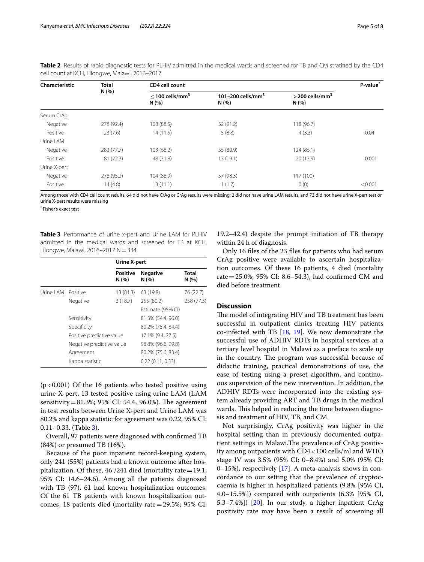| Characteristic | <b>Total</b><br>N (%) | CD4 cell count                        |                                      |                                      |         |
|----------------|-----------------------|---------------------------------------|--------------------------------------|--------------------------------------|---------|
|                |                       | $<$ 100 cells/mm <sup>3</sup><br>N(%) | 101-200 cells/mm <sup>3</sup><br>N(% | $>$ 200 cells/mm <sup>3</sup><br>N(% |         |
| Serum CrAq     |                       |                                       |                                      |                                      |         |
| Negative       | 278 (92.4)            | 108 (88.5)                            | 52 (91.2)                            | 118 (96.7)                           |         |
| Positive       | 23(7.6)               | 14(11.5)                              | 5(8.8)                               | 4(3.3)                               | 0.04    |
| Urine LAM      |                       |                                       |                                      |                                      |         |
| Negative       | 282 (77.7)            | 103 (68.2)                            | 55 (80.9)                            | 124 (86.1)                           |         |
| Positive       | 81(22.3)              | 48 (31.8)                             | 13(19.1)                             | 20 (13.9)                            | 0.001   |
| Urine X-pert   |                       |                                       |                                      |                                      |         |
| Negative       | 278 (95.2)            | 104 (88.9)                            | 57 (98.3)                            | 117(100)                             |         |
| Positive       | 14(4.8)               | 13(11.1)                              | 1(1.7)                               | 0(0)                                 | < 0.001 |

<span id="page-4-0"></span>**Table 2** Results of rapid diagnostic tests for PLHIV admitted in the medical wards and screened for TB and CM stratifed by the CD4 cell count at KCH, Lilongwe, Malawi, 2016–2017

Among those with CD4 cell count results, 64 did not have CrAg or CrAg results were missing; 2 did not have urine LAM results, and 73 did not have urine X-pert test or urine X-pert results were missing

\* Fisher's exact test

<span id="page-4-1"></span>**Table 3** Performance of urine x-pert and Urine LAM for PLHIV admitted in the medical wards and screened for TB at KCH, Lilongwe, Malawi, 2016–2017 N=334

|                    |                           | Urine X-pert            |                         |               |  |
|--------------------|---------------------------|-------------------------|-------------------------|---------------|--|
|                    |                           | <b>Positive</b><br>N(%) | <b>Negative</b><br>N(%) | Total<br>N(%) |  |
| Urine LAM Positive |                           | 13 (81.3)               | 63 (19.8)               | 76 (22.7)     |  |
|                    | Negative                  | 3(18.7)                 | 255 (80.2)              | 258 (77.3)    |  |
|                    |                           |                         | Estimate (95% CI)       |               |  |
|                    | Sensitivity               |                         | 81.3% (54.4, 96.0)      |               |  |
|                    | Specificity               |                         | 80.2% (75.4, 84.4)      |               |  |
|                    | Positive predictive value |                         | 17.1% (9.4, 27.5)       |               |  |
|                    | Negative predictive value |                         | 98.8% (96.6, 99.8)      |               |  |
|                    | Agreement                 |                         | 80.2% (75.6, 83.4)      |               |  |
|                    | Kappa statistic           |                         | 0.22(0.11, 0.33)        |               |  |

 $(p<0.001)$  Of the 16 patients who tested positive using urine X-pert, 13 tested positive using urine LAM (LAM sensitivity=81.3%; 95% CI: 54.4, 96.0%). The agreement in test results between Urine X-pert and Urine LAM was 80.2% and kappa statistic for agreement was 0.22, 95% CI: 0.11- 0.33. (Table [3\)](#page-4-1).

Overall, 97 patients were diagnosed with confrmed TB (84%) or presumed TB (16%).

Because of the poor inpatient record-keeping system, only 241 (55%) patients had a known outcome after hospitalization. Of these,  $46/241$  died (mortality rate = 19.1; 95% CI: 14.6–24.6). Among all the patients diagnosed with TB (97), 61 had known hospitalization outcomes. Of the 61 TB patients with known hospitalization outcomes, 18 patients died (mortality rate=29.5%; 95% CI:

19.2–42.4) despite the prompt initiation of TB therapy within 24 h of diagnosis.

Only 16 fles of the 23 fles for patients who had serum CrAg positive were available to ascertain hospitalization outcomes. Of these 16 patients, 4 died (mortality rate=25.0%; 95% CI: 8.6–54.3), had confrmed CM and died before treatment.

#### **Discussion**

The model of integrating HIV and TB treatment has been successful in outpatient clinics treating HIV patients co-infected with TB [\[18](#page-6-16), [19](#page-6-17)]. We now demonstrate the successful use of ADHIV RDTs in hospital services at a tertiary level hospital in Malawi as a preface to scale up in the country. The program was successful because of didactic training, practical demonstrations of use, the ease of testing using a preset algorithm, and continuous supervision of the new intervention. In addition, the ADHIV RDTs were incorporated into the existing system already providing ART and TB drugs in the medical wards. This helped in reducing the time between diagnosis and treatment of HIV, TB, and CM.

Not surprisingly, CrAg positivity was higher in the hospital setting than in previously documented outpatient settings in Malawi. The prevalence of CrAg positivity among outpatients with CD4<100 cells/ml and WHO stage IV was 3.5% (95% CI: 0–8.4%) and 5.0% (95% CI: 0–15%), respectively [[17\]](#page-6-15). A meta-analysis shows in concordance to our setting that the prevalence of cryptoccaemia is higher in hospitalized patients (9.8% [95% CI, 4.0–15.5%]) compared with outpatients (6.3% [95% CI, 5.3–7.4%]) [[20\]](#page-6-18). In our study, a higher inpatient CrAg positivity rate may have been a result of screening all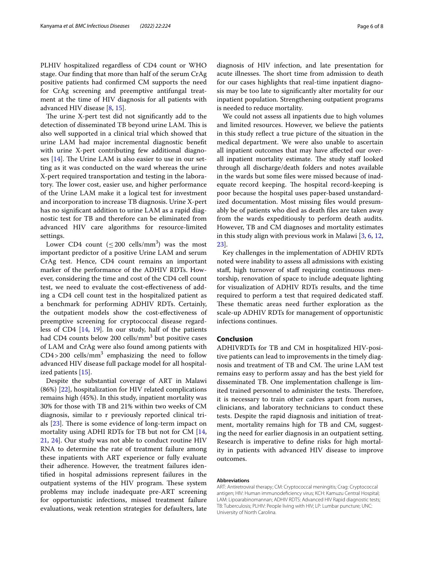PLHIV hospitalized regardless of CD4 count or WHO stage. Our fnding that more than half of the serum CrAg positive patients had confrmed CM supports the need for CrAg screening and preemptive antifungal treatment at the time of HIV diagnosis for all patients with advanced HIV disease [\[8](#page-6-19), [15\]](#page-6-13).

The urine X-pert test did not significantly add to the detection of disseminated TB beyond urine LAM. This is also well supported in a clinical trial which showed that urine LAM had major incremental diagnostic beneft with urine X-pert contributing few additional diagnoses  $[14]$ . The Urine LAM is also easier to use in our setting as it was conducted on the ward whereas the urine X-pert required transportation and testing in the laboratory. The lower cost, easier use, and higher performance of the Urine LAM make it a logical test for investment and incorporation to increase TB diagnosis. Urine X-pert has no signifcant addition to urine LAM as a rapid diagnostic test for TB and therefore can be eliminated from advanced HIV care algorithms for resource-limited settings.

Lower CD4 count  $(\leq 200 \text{ cells/mm}^3)$  was the most important predictor of a positive Urine LAM and serum CrAg test. Hence, CD4 count remains an important marker of the performance of the ADHIV RDTs. However, considering the time and cost of the CD4 cell count test, we need to evaluate the cost-efectiveness of adding a CD4 cell count test in the hospitalized patient as a benchmark for performing ADHIV RDTs. Certainly, the outpatient models show the cost-efectiveness of preemptive screening for cryptococcal disease regardless of CD4 [\[14,](#page-6-12) [19](#page-6-17)]. In our study, half of the patients had CD4 counts below 200 cells/mm<sup>3</sup> but positive cases of LAM and CrAg were also found among patients with  $CD4 > 200$  cells/mm<sup>3</sup> emphasizing the need to follow advanced HIV disease full package model for all hospitalized patients [\[15\]](#page-6-13).

Despite the substantial coverage of ART in Malawi (86%) [[22\]](#page-6-20), hospitalization for HIV related complications remains high (45%). In this study, inpatient mortality was 30% for those with TB and 21% within two weeks of CM diagnosis, similar to r previously reported clinical trials  $[23]$  $[23]$ . There is some evidence of long-term impact on mortality using ADHI RDTs for TB but not for CM [\[14](#page-6-12), [21,](#page-6-22) [24\]](#page-7-0). Our study was not able to conduct routine HIV RNA to determine the rate of treatment failure among these inpatients with ART experience or fully evaluate their adherence. However, the treatment failures identifed in hospital admissions represent failures in the outpatient systems of the HIV program. These system problems may include inadequate pre-ART screening for opportunistic infections, missed treatment failure evaluations, weak retention strategies for defaulters, late

diagnosis of HIV infection, and late presentation for acute illnesses. The short time from admission to death for our cases highlights that real-time inpatient diagnosis may be too late to signifcantly alter mortality for our inpatient population. Strengthening outpatient programs

is needed to reduce mortality. We could not assess all inpatients due to high volumes and limited resources. However, we believe the patients in this study refect a true picture of the situation in the medical department. We were also unable to ascertain all inpatient outcomes that may have afected our overall inpatient mortality estimate. The study staff looked through all discharge/death folders and notes available in the wards but some fles were missed because of inadequate record keeping. The hospital record-keeping is poor because the hospital uses paper-based unstandardized documentation. Most missing fles would presumably be of patients who died as death fles are taken away from the wards expeditiously to perform death audits. However, TB and CM diagnoses and mortality estimates in this study align with previous work in Malawi [\[3](#page-6-2), [6,](#page-6-3) [12](#page-6-8), [23\]](#page-6-21).

Key challenges in the implementation of ADHIV RDTs noted were inability to assess all admissions with existing staff, high turnover of staff requiring continuous mentorship, renovation of space to include adequate lighting for visualization of ADHIV RDTs results, and the time required to perform a test that required dedicated staf. These thematic areas need further exploration as the scale-up ADHIV RDTs for management of opportunistic infections continues.

#### **Conclusion**

ADHIVRDTs for TB and CM in hospitalized HIV-positive patients can lead to improvements in the timely diagnosis and treatment of TB and CM. The urine LAM test remains easy to perform assay and has the best yield for disseminated TB. One implementation challenge is limited trained personnel to administer the tests. Therefore, it is necessary to train other cadres apart from nurses, clinicians, and laboratory technicians to conduct these tests. Despite the rapid diagnosis and initiation of treatment, mortality remains high for TB and CM, suggesting the need for earlier diagnosis in an outpatient setting. Research is imperative to defne risks for high mortality in patients with advanced HIV disease to improve outcomes.

#### **Abbreviations**

ART: Antiretroviral therapy; CM: Cryptococcal meningitis; Crag: Cryptococcal antigen; HIV: Human immunodefciency virus; KCH: Kamuzu Central Hospital; LAM: Lipoarabinomannan; ADHIV RDTS: Advanced HIV Rapid diagnostic tests; TB: Tuberculosis; PLHIV: People living with HIV; LP: Lumbar puncture; UNC: University of North Carolina.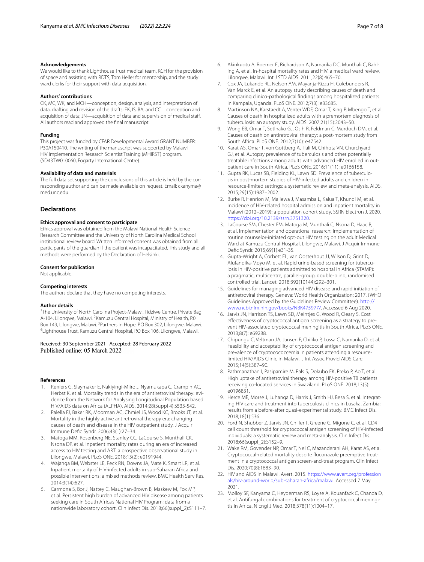#### **Acknowledgements**

We would like to thank Lighthouse Trust medical team, KCH for the provision of space and assisting with RDTS, Tom Heller for mentorship, and the study ward clerks for their support with data acquisition.

#### **Authors' contributions**

CK, MC, WK, and MCH—conception, design, analysis, and interpretation of data, drafting and revision of the drafts; EK, IS, BA, and CC—conception and acquisition of data; JN—acquisition of data and supervision of medical staf. All authors read and approved the fnal manuscript.

#### **Funding**

This project was funded by CFAR Developmental Award GRANT NUMBER: P30A150410. The writing of the manuscript was supported by Malawi HIV Implementation Research Scientist Training (MHIRST) program. (5D43TW010060, Fogarty International Centre).

#### **Availability of data and materials**

The full data set supporting the conclusions of this article is held by the corresponding author and can be made available on request. Email: ckanyma@ med.unc.edu.

#### **Declarations**

#### **Ethics approval and consent to participate**

Ethics approval was obtained from the Malawi National Health Science Research Committee and the University of North Carolina Medical School institutional review board. Written informed consent was obtained from all participants of the guardian if the patient was incapacitated. This study and all methods were performed by the Declaration of Helsinki.

#### **Consent for publication**

Not applicable.

#### **Competing interests**

The authors declare that they have no competing interests.

#### **Author details**

<sup>1</sup>The University of North Carolina Project-Malawi, Tidziwe Centre, Private Bag A-104, Lilongwe, Malawi. <sup>2</sup> Kamuzu Central Hospital, Ministry of Health, P.0 Box 149, Lilongwe, Malawi. <sup>3</sup> Partners In Hope, P.O Box 302, Lilongwe, Malawi.<br><sup>4</sup>Lighthoure Trust, Kamuzu Contral Hospital, P.O. Box 106, Lilongwe, Malawi. Lighthouse Trust, Kamuzu Central Hospital, P.O Box 106, Lilongwe, Malawi.

## Received: 30 September 2021 Accepted: 28 February 2022

#### **References**

- <span id="page-6-0"></span>1. Reniers G, Slaymaker E, Nakiyingi-Miiro J, Nyamukapa C, Crampin AC, Herbst K, et al. Mortality trends in the era of antiretroviral therapy: evidence from the Network for Analysing Longitudinal Population based HIV/AIDS data on Africa (ALPHA). AIDS. 2014;28(Suppl 4):S533-542.
- <span id="page-6-11"></span>2. Palella FJ, Baker RK, Moorman AC, Chmiel JS, Wood KC, Brooks JT, et al. Mortality in the highly active antiretroviral therapy era: changing causes of death and disease in the HIV outpatient study. J Acquir Immune Defc Syndr. 2006;43(1):27–34.
- <span id="page-6-2"></span>3. Matoga MM, Rosenberg NE, Stanley CC, LaCourse S, Munthali CK, Nsona DP, et al. Inpatient mortality rates during an era of increased access to HIV testing and ART: a prospective observational study in Lilongwe, Malawi. PLoS ONE. 2018;13(2): e0191944.
- <span id="page-6-9"></span>4. Wajanga BM, Webster LE, Peck RN, Downs JA, Mate K, Smart LR, et al. Inpatient mortality of HIV-infected adults in sub-Saharan Africa and possible interventions: a mixed methods review. BMC Health Serv Res. 2014;3(14):627.
- <span id="page-6-1"></span>5. Carmona S, Bor J, Nattey C, Maughan-Brown B, Maskew M, Fox MP, et al. Persistent high burden of advanced HIV disease among patients seeking care in South Africa's National HIV Program: data from a nationwide laboratory cohort. Clin Infect Dis. 2018;66(suppl\_2):S111–7.
- <span id="page-6-3"></span>6. Akinkuotu A, Roemer E, Richardson A, Namarika DC, Munthali C, Bahling A, et al. In-hospital mortality rates and HIV: a medical ward review, Lilongwe, Malawi. Int J STD AIDS. 2011;22(8):465–70.
- <span id="page-6-4"></span>7. Cox JA, Lukande RL, Nelson AM, Mayanja-Kizza H, Colebunders R, Van Marck E, et al. An autopsy study describing causes of death and comparing clinico-pathological fndings among hospitalized patients in Kampala, Uganda. PLoS ONE. 2012;7(3): e33685.
- <span id="page-6-19"></span>8. Martinson NA, Karstaedt A, Venter WDF, Omar T, King P, Mbengo T, et al. Causes of death in hospitalized adults with a premortem diagnosis of tuberculosis: an autopsy study. AIDS. 2007;21(15):2043–50.
- <span id="page-6-5"></span>9. Wong EB, Omar T, Setlhako GJ, Osih R, Feldman C, Murdoch DM, et al. Causes of death on antiretroviral therapy: a post-mortem study from South Africa. PLoS ONE. 2012;7(10): e47542.
- <span id="page-6-6"></span>10. Karat AS, Omar T, von Gottberg A, Tlali M, Chihota VN, Churchyard GJ, et al. Autopsy prevalence of tuberculosis and other potentially treatable infections among adults with advanced HIV enrolled in outpatient care in South Africa. PLoS ONE. 2016;11(11): e0166158.
- <span id="page-6-7"></span>11. Gupta RK, Lucas SB, Fielding KL, Lawn SD. Prevalence of tuberculosis in post-mortem studies of HIV-infected adults and children in resource-limited settings: a systematic review and meta-analysis. AIDS. 2015;29(15):1987–2002.
- <span id="page-6-8"></span>12. Burke R, Henrion M, Mallewa J, Masamba L, Kalua T, Khundi M, et al. Incidence of HIV-related hospital admission and inpatient mortality in Malawi (2012–2019): a population cohort study. SSRN Electron J. 2020. <https://doi.org/10.2139/ssrn.3751320>.
- <span id="page-6-10"></span>13. LaCourse SM, Chester FM, Matoga M, Munthali C, Nsona D, Haac B, et al. Implementation and operational research: implementation of routine counselor-initiated opt-out HIV testing on the adult Medical Ward at Kamuzu Central Hospital, Lilongwe, Malawi. J Acquir Immune Defc Syndr. 2015;69(1):e31-35.
- <span id="page-6-12"></span>14. Gupta-Wright A, Corbett EL, van Oosterhout JJ, Wilson D, Grint D, Alufandika-Moyo M, et al. Rapid urine-based screening for tuberculosis in HIV-positive patients admitted to hospital in Africa (STAMP): a pragmatic, multicentre, parallel-group, double-blind, randomised controlled trial. Lancet. 2018;392(10144):292–301.
- <span id="page-6-13"></span>15. Guidelines for managing advanced HIV disease and rapid initiation of antiretroviral therapy. Geneva: World Health Organization; 2017. (WHO Guidelines Approved by the Guidelines Review Committee). [http://](http://www.ncbi.nlm.nih.gov/books/NBK475977/) [www.ncbi.nlm.nih.gov/books/NBK475977/](http://www.ncbi.nlm.nih.gov/books/NBK475977/). Accessed 6 Aug 2020.
- <span id="page-6-14"></span>16. Jarvis JN, Harrison TS, Lawn SD, Meintjes G, Wood R, Cleary S. Cost efectiveness of cryptococcal antigen screening as a strategy to prevent HIV-associated cryptococcal meningitis in South Africa. PLoS ONE. 2013;8(7): e69288.
- <span id="page-6-15"></span>17. Chipungu C, Veltman JA, Jansen P, Chiliko P, Lossa C, Namarika D, et al. Feasibility and acceptability of cryptococcal antigen screening and prevalence of cryptocococcemia in patients attending a resourcelimited HIV/AIDS Clinic in Malawi. J Int Assoc Provid AIDS Care. 2015;14(5):387–90.
- <span id="page-6-16"></span>18. Pathmanathan I, Pasipamire M, Pals S, Dokubo EK, Preko P, Ao T, et al. High uptake of antiretroviral therapy among HIV-positive TB patients receiving co-located services in Swaziland. PLoS ONE. 2018;13(5): e0196831.
- <span id="page-6-17"></span>19. Herce ME, Morse J, Luhanga D, Harris J, Smith HJ, Besa S, et al. Integrating HIV care and treatment into tuberculosis clinics in Lusaka, Zambia: results from a before-after quasi-experimental study. BMC Infect Dis. 2018;18(1):536.
- <span id="page-6-18"></span>20. Ford N, Shubber Z, Jarvis JN, Chiller T, Greene G, Migone C, et al. CD4 cell count threshold for cryptococcal antigen screening of HIV-infected individuals: a systematic review and meta-analysis. Clin Infect Dis. 2018;66(suppl\_2):S152–9.
- <span id="page-6-22"></span>21. Wake RM, Govender NP, Omar T, Nel C, Mazanderani AH, Karat AS, et al. Cryptococcal-related mortality despite fuconazole preemptive treatment in a cryptococcal antigen screen-and-treat program. Clin Infect Dis. 2020;70(8):1683–90.
- <span id="page-6-20"></span>22. HIV and AIDS in Malawi. Avert. 2015. [https://www.avert.org/profession](https://www.avert.org/professionals/hiv-around-world/sub-saharan-africa/malawi) [als/hiv-around-world/sub-saharan-africa/malawi.](https://www.avert.org/professionals/hiv-around-world/sub-saharan-africa/malawi) Accessed 7 May 2021.
- <span id="page-6-21"></span>23. Molloy SF, Kanyama C, Heyderman RS, Loyse A, Kouanfack C, Chanda D, et al. Antifungal combinations for treatment of cryptococcal meningitis in Africa. N Engl J Med. 2018;378(11):1004–17.